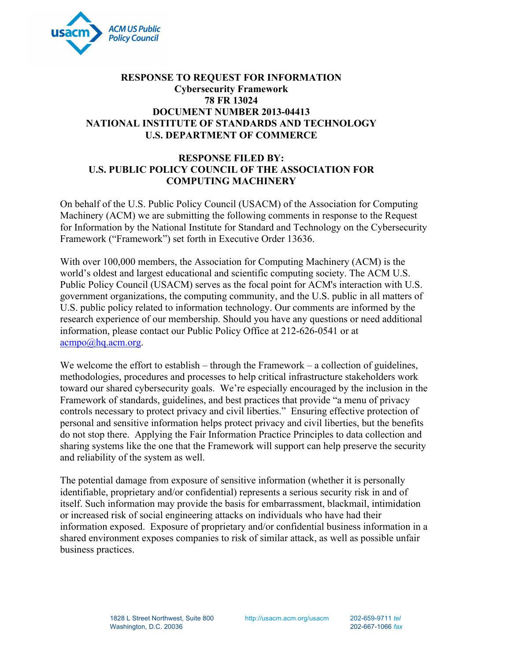

## **78 FR 13024 RESPONSE TO REQUEST FOR INFORMATION Cybersecurity Framework DOCUMENT NUMBER 2013-04413 NATIONAL INSTITUTE OF STANDARDS AND TECHNOLOGY U.S. DEPARTMENT OF COMMERCE**

# **RESPONSE FILED BY: U.S. PUBLIC POLICY COUNCIL OF THE ASSOCIATION FOR COMPUTING MACHINERY**

 for Information by the National Institute for Standard and Technology on the Cybersecurity On behalf of the U.S. Public Policy Council (USACM) of the Association for Computing Machinery (ACM) we are submitting the following comments in response to the Request Framework ("Framework") set forth in Executive Order 13636.

With over 100,000 members, the Association for Computing Machinery (ACM) is the world's oldest and largest educational and scientific computing society. The ACM U.S. Public Policy Council (USACM) serves as the focal point for ACM's interaction with U.S. government organizations, the computing community, and the U.S. public in all matters of U.S. public policy related to information technology. Our comments are informed by the research experience of our membership. Should you have any questions or need additional information, please contact our Public Policy Office at 212-626-0541 or at acmpo@hq.acm.org.

We welcome the effort to establish – through the Framework – a collection of guidelines, methodologies, procedures and processes to help critical infrastructure stakeholders work toward our shared cybersecurity goals. We're especially encouraged by the inclusion in the Framework of standards, guidelines, and best practices that provide "a menu of privacy controls necessary to protect privacy and civil liberties." Ensuring effective protection of personal and sensitive information helps protect privacy and civil liberties, but the benefits do not stop there. Applying the Fair Information Practice Principles to data collection and sharing systems like the one that the Framework will support can help preserve the security and reliability of the system as well.

 information exposed. Exposure of proprietary and/or confidential business information in a The potential damage from exposure of sensitive information (whether it is personally identifiable, proprietary and/or confidential) represents a serious security risk in and of itself. Such information may provide the basis for embarrassment, blackmail, intimidation or increased risk of social engineering attacks on individuals who have had their shared environment exposes companies to risk of similar attack, as well as possible unfair business practices.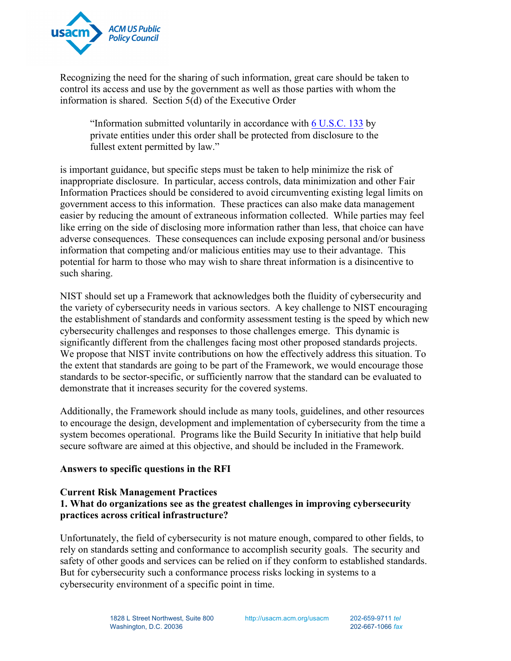

Recognizing the need for the sharing of such information, great care should be taken to control its access and use by the government as well as those parties with whom the information is shared. Section 5(d) of the Executive Order

"Information submitted voluntarily in accordance with 6 U.S.C. 133 by private entities under this order shall be protected from disclosure to the fullest extent permitted by law."

 is important guidance, but specific steps must be taken to help minimize the risk of adverse consequences. These consequences can include exposing personal and/or business inappropriate disclosure. In particular, access controls, data minimization and other Fair Information Practices should be considered to avoid circumventing existing legal limits on government access to this information. These practices can also make data management easier by reducing the amount of extraneous information collected. While parties may feel like erring on the side of disclosing more information rather than less, that choice can have information that competing and/or malicious entities may use to their advantage. This potential for harm to those who may wish to share threat information is a disincentive to such sharing.

 NIST should set up a Framework that acknowledges both the fluidity of cybersecurity and the variety of cybersecurity needs in various sectors. A key challenge to NIST encouraging the establishment of standards and conformity assessment testing is the speed by which new cybersecurity challenges and responses to those challenges emerge. This dynamic is significantly different from the challenges facing most other proposed standards projects. We propose that NIST invite contributions on how the effectively address this situation. To the extent that standards are going to be part of the Framework, we would encourage those standards to be sector-specific, or sufficiently narrow that the standard can be evaluated to demonstrate that it increases security for the covered systems.

Additionally, the Framework should include as many tools, guidelines, and other resources to encourage the design, development and implementation of cybersecurity from the time a system becomes operational. Programs like the Build Security In initiative that help build secure software are aimed at this objective, and should be included in the Framework.

#### **Answers to specific questions in the RFI**

#### **Current Risk Management Practices**

# **1. What do organizations see as the greatest challenges in improving cybersecurity practices across critical infrastructure?**

Unfortunately, the field of cybersecurity is not mature enough, compared to other fields, to rely on standards setting and conformance to accomplish security goals. The security and safety of other goods and services can be relied on if they conform to established standards. But for cybersecurity such a conformance process risks locking in systems to a cybersecurity environment of a specific point in time.

http://usacm.acm.org/usacm 202-659-9711 *tel*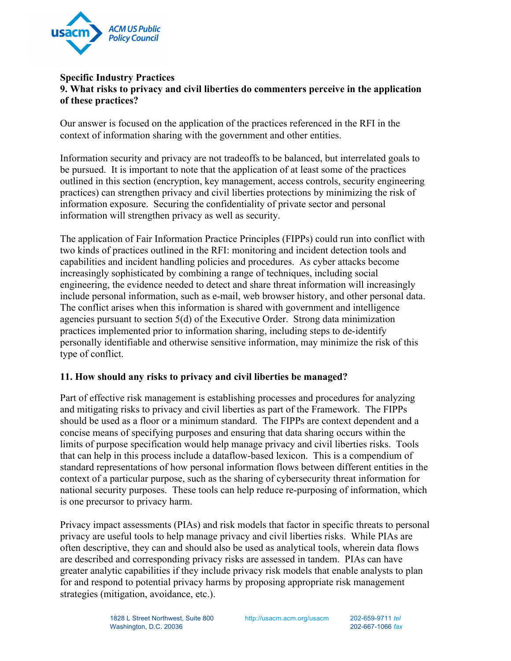

## **Specific Industry Practices 9. What risks to privacy and civil liberties do commenters perceive in the application of these practices?**

Our answer is focused on the application of the practices referenced in the RFI in the context of information sharing with the government and other entities.

 practices) can strengthen privacy and civil liberties protections by minimizing the risk of Information security and privacy are not tradeoffs to be balanced, but interrelated goals to be pursued. It is important to note that the application of at least some of the practices outlined in this section (encryption, key management, access controls, security engineering information exposure. Securing the confidentiality of private sector and personal information will strengthen privacy as well as security.

 The application of Fair Information Practice Principles (FIPPs) could run into conflict with personally identifiable and otherwise sensitive information, may minimize the risk of this type of conflict. two kinds of practices outlined in the RFI: monitoring and incident detection tools and capabilities and incident handling policies and procedures. As cyber attacks become increasingly sophisticated by combining a range of techniques, including social engineering, the evidence needed to detect and share threat information will increasingly include personal information, such as e-mail, web browser history, and other personal data. The conflict arises when this information is shared with government and intelligence agencies pursuant to section 5(d) of the Executive Order. Strong data minimization practices implemented prior to information sharing, including steps to de-identify

#### **11. How should any risks to privacy and civil liberties be managed?**

 Part of effective risk management is establishing processes and procedures for analyzing should be used as a floor or a minimum standard. The FIPPs are context dependent and a and mitigating risks to privacy and civil liberties as part of the Framework. The FIPPs concise means of specifying purposes and ensuring that data sharing occurs within the limits of purpose specification would help manage privacy and civil liberties risks. Tools that can help in this process include a dataflow-based lexicon. This is a compendium of standard representations of how personal information flows between different entities in the context of a particular purpose, such as the sharing of cybersecurity threat information for national security purposes. These tools can help reduce re-purposing of information, which is one precursor to privacy harm.

 privacy are useful tools to help manage privacy and civil liberties risks. While PIAs are often descriptive, they can and should also be used as analytical tools, wherein data flows are described and corresponding privacy risks are assessed in tandem. PIAs can have Privacy impact assessments (PIAs) and risk models that factor in specific threats to personal greater analytic capabilities if they include privacy risk models that enable analysts to plan for and respond to potential privacy harms by proposing appropriate risk management strategies (mitigation, avoidance, etc.).